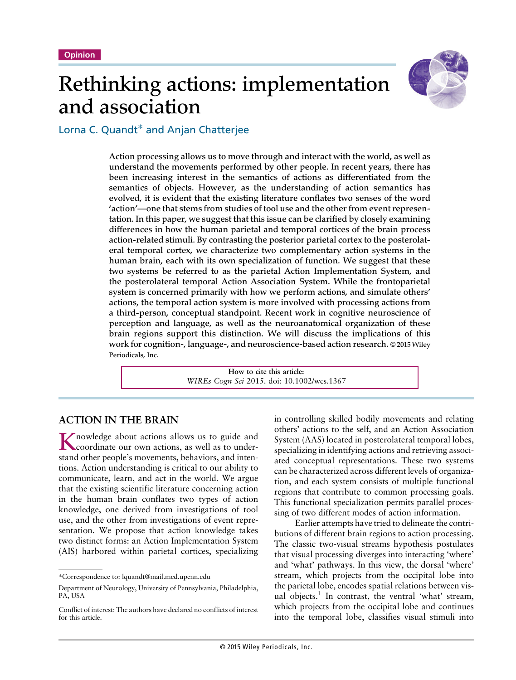# Rethinking actions: implementation and association



Lorna C. Quandt\* and Anjan Chatterjee

Action processing allows us to move through and interact with the world, as well as understand the movements performed by other people. In recent years, there has been increasing interest in the semantics of actions as differentiated from the semantics of objects. However, as the understanding of action semantics has evolved, it is evident that the existing literature conflates two senses of the word 'action'—one that stems from studies of tool use and the other from event representation. In this paper, we suggest that this issue can be clarified by closely examining differences in how the human parietal and temporal cortices of the brain process action-related stimuli. By contrasting the posterior parietal cortex to the posterolateral temporal cortex, we characterize two complementary action systems in the human brain, each with its own specialization of function. We suggest that these two systems be referred to as the parietal Action Implementation System, and the posterolateral temporal Action Association System. While the frontoparietal system is concerned primarily with how we perform actions, and simulate others' actions, the temporal action system is more involved with processing actions from a third-person, conceptual standpoint. Recent work in cognitive neuroscience of perception and language, as well as the neuroanatomical organization of these brain regions support this distinction. We will discuss the implications of this work for cognition-, language-, and neuroscience-based action research. © 2015 Wiley Periodicals, Inc.

> **How to cite this article:** *WIREs Cogn Sci* 2015. doi: 10.1002/wcs.1367

## **ACTION IN THE BRAIN**

Knowledge about actions allows us to guide and<br>coordinate our own actions, as well as to understand other people's movements, behaviors, and intentions. Action understanding is critical to our ability to communicate, learn, and act in the world. We argue that the existing scientific literature concerning action in the human brain conflates two types of action knowledge, one derived from investigations of tool use, and the other from investigations of event representation. We propose that action knowledge takes two distinct forms: an Action Implementation System (AIS) harbored within parietal cortices, specializing

in controlling skilled bodily movements and relating others' actions to the self, and an Action Association System (AAS) located in posterolateral temporal lobes, specializing in identifying actions and retrieving associated conceptual representations. These two systems can be characterized across different levels of organization, and each system consists of multiple functional regions that contribute to common processing goals. This functional specialization permits parallel processing of two different modes of action information.

Earlier attempts have tried to delineate the contributions of different brain regions to action processing. The classic two-visual streams hypothesis postulates that visual processing diverges into interacting 'where' and 'what' pathways. In this view, the dorsal 'where' stream, which projects from the occipital lobe into the parietal lobe, encodes spatial relations between visual objects.<sup>1</sup> In contrast, the ventral 'what' stream, which projects from the occipital lobe and continues into the temporal lobe, classifies visual stimuli into

<sup>\*</sup>Correspondence to: lquandt@mail.med.upenn.edu

Department of Neurology, University of Pennsylvania, Philadelphia, PA, USA

Conflict of interest: The authors have declared no conflicts of interest for this article.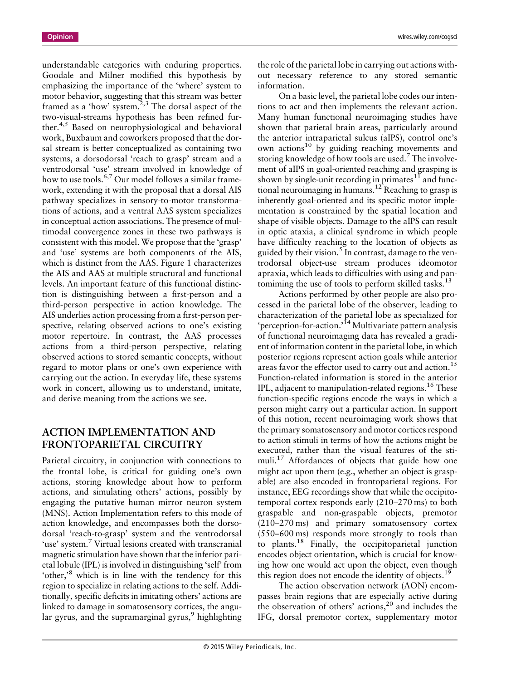understandable categories with enduring properties. Goodale and Milner modified this hypothesis by emphasizing the importance of the 'where' system to motor behavior, suggesting that this stream was better framed as a 'how' system.<sup>2,3</sup> The dorsal aspect of the two-visual-streams hypothesis has been refined further. $4,5$  Based on neurophysiological and behavioral work, Buxbaum and coworkers proposed that the dorsal stream is better conceptualized as containing two systems, a dorsodorsal 'reach to grasp' stream and a ventrodorsal 'use' stream involved in knowledge of how to use tools.<sup>6,7</sup> Our model follows a similar framework, extending it with the proposal that a dorsal AIS pathway specializes in sensory-to-motor transformations of actions, and a ventral AAS system specializes in conceptual action associations. The presence of multimodal convergence zones in these two pathways is consistent with this model. We propose that the 'grasp' and 'use' systems are both components of the AIS, which is distinct from the AAS. Figure 1 characterizes the AIS and AAS at multiple structural and functional levels. An important feature of this functional distinction is distinguishing between a first-person and a third-person perspective in action knowledge. The AIS underlies action processing from a first-person perspective, relating observed actions to one's existing motor repertoire. In contrast, the AAS processes actions from a third-person perspective, relating observed actions to stored semantic concepts, without regard to motor plans or one's own experience with carrying out the action. In everyday life, these systems work in concert, allowing us to understand, imitate, and derive meaning from the actions we see.

## **ACTION IMPLEMENTATION AND FRONTOPARIETAL CIRCUITRY**

Parietal circuitry, in conjunction with connections to the frontal lobe, is critical for guiding one's own actions, storing knowledge about how to perform actions, and simulating others' actions, possibly by engaging the putative human mirror neuron system (MNS). Action Implementation refers to this mode of action knowledge, and encompasses both the dorsodorsal 'reach-to-grasp' system and the ventrodorsal 'use' system.<sup>7</sup> Virtual lesions created with transcranial magnetic stimulation have shown that the inferior parietal lobule (IPL) is involved in distinguishing 'self' from 'other,'<sup>8</sup> which is in line with the tendency for this region to specialize in relating actions to the self. Additionally, specific deficits in imitating others' actions are linked to damage in somatosensory cortices, the angular gyrus, and the supramarginal gyrus, $9$  highlighting the role of the parietal lobe in carrying out actions without necessary reference to any stored semantic information.

On a basic level, the parietal lobe codes our intentions to act and then implements the relevant action. Many human functional neuroimaging studies have shown that parietal brain areas, particularly around the anterior intraparietal sulcus (aIPS), control one's own actions<sup>10</sup> by guiding reaching movements and storing knowledge of how tools are used.<sup>7</sup> The involvement of aIPS in goal-oriented reaching and grasping is shown by single-unit recording in primates $11$  and functional neuroimaging in humans.<sup>12</sup> Reaching to grasp is inherently goal-oriented and its specific motor implementation is constrained by the spatial location and shape of visible objects. Damage to the aIPS can result in optic ataxia, a clinical syndrome in which people have difficulty reaching to the location of objects as guided by their vision.<sup>5</sup> In contrast, damage to the ventrodorsal object-use stream produces ideomotor apraxia, which leads to difficulties with using and pantomining the use of tools to perform skilled tasks.<sup>13</sup>

Actions performed by other people are also processed in the parietal lobe of the observer, leading to characterization of the parietal lobe as specialized for 'perception-for-action.'<sup>14</sup> Multivariate pattern analysis of functional neuroimaging data has revealed a gradient of information content in the parietal lobe, in which posterior regions represent action goals while anterior areas favor the effector used to carry out and action.<sup>15</sup> Function-related information is stored in the anterior IPL, adjacent to manipulation-related regions.<sup>16</sup> These function-specific regions encode the ways in which a person might carry out a particular action. In support of this notion, recent neuroimaging work shows that the primary somatosensory and motor cortices respond to action stimuli in terms of how the actions might be executed, rather than the visual features of the stimuli.<sup>17</sup> Affordances of objects that guide how one might act upon them (e.g., whether an object is graspable) are also encoded in frontoparietal regions. For instance, EEG recordings show that while the occipitotemporal cortex responds early (210–270 ms) to both graspable and non-graspable objects, premotor (210–270 ms) and primary somatosensory cortex (550–600 ms) responds more strongly to tools than to plants.<sup>18</sup> Finally, the occipitoparietal junction encodes object orientation, which is crucial for knowing how one would act upon the object, even though this region does not encode the identity of objects.<sup>19</sup>

The action observation network (AON) encompasses brain regions that are especially active during the observation of others' actions,<sup>20</sup> and includes the IFG, dorsal premotor cortex, supplementary motor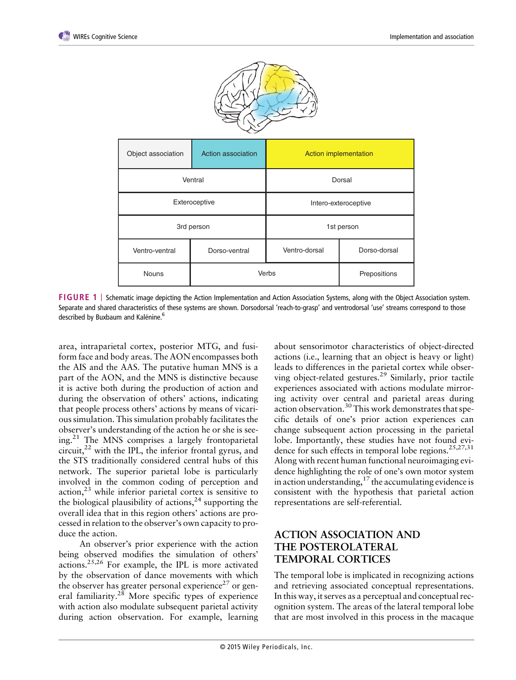

| Object association | Action association | <b>Action implementation</b> |              |
|--------------------|--------------------|------------------------------|--------------|
| Ventral            |                    | Dorsal                       |              |
| Exteroceptive      |                    | Intero-exteroceptive         |              |
| 3rd person         |                    | 1st person                   |              |
| Ventro-ventral     | Dorso-ventral      | Ventro-dorsal                | Dorso-dorsal |
| <b>Nouns</b>       | Verbs              |                              | Prepositions |

**FIGURE 1** | Schematic image depicting the Action Implementation and Action Association Systems, along with the Object Association system. Separate and shared characteristics of these systems are shown. Dorsodorsal 'reach-to-grasp' and ventrodorsal 'use' streams correspond to those described by Buxbaum and Kalénine.<sup>6</sup>

area, intraparietal cortex, posterior MTG, and fusiform face and body areas. The AON encompasses both the AIS and the AAS. The putative human MNS is a part of the AON, and the MNS is distinctive because it is active both during the production of action and during the observation of others' actions, indicating that people process others' actions by means of vicarious simulation. This simulation probably facilitates the observer's understanding of the action he or she is seeing.<sup>21</sup> The MNS comprises a largely frontoparietal circuit, $^{22}$  with the IPL, the inferior frontal gyrus, and the STS traditionally considered central hubs of this network. The superior parietal lobe is particularly involved in the common coding of perception and action, $23$  while inferior parietal cortex is sensitive to the biological plausibility of actions,<sup>24</sup> supporting the overall idea that in this region others' actions are processed in relation to the observer's own capacity to produce the action.

An observer's prior experience with the action being observed modifies the simulation of others' actions.25,26 For example, the IPL is more activated by the observation of dance movements with which the observer has greater personal experience<sup>27</sup> or general familiarity.<sup>28</sup> More specific types of experience with action also modulate subsequent parietal activity during action observation. For example, learning

about sensorimotor characteristics of object-directed actions (i.e., learning that an object is heavy or light) leads to differences in the parietal cortex while observing object-related gestures.<sup>29</sup> Similarly, prior tactile experiences associated with actions modulate mirroring activity over central and parietal areas during action observation.<sup>30</sup>This work demonstrates that specific details of one's prior action experiences can change subsequent action processing in the parietal lobe. Importantly, these studies have not found evidence for such effects in temporal lobe regions.<sup>25,27,31</sup> Along with recent human functional neuroimaging evidence highlighting the role of one's own motor system in action understanding,  $17$  the accumulating evidence is consistent with the hypothesis that parietal action representations are self-referential.

## **ACTION ASSOCIATION AND THE POSTEROLATERAL TEMPORAL CORTICES**

The temporal lobe is implicated in recognizing actions and retrieving associated conceptual representations. In this way, it serves as a perceptual and conceptual recognition system. The areas of the lateral temporal lobe that are most involved in this process in the macaque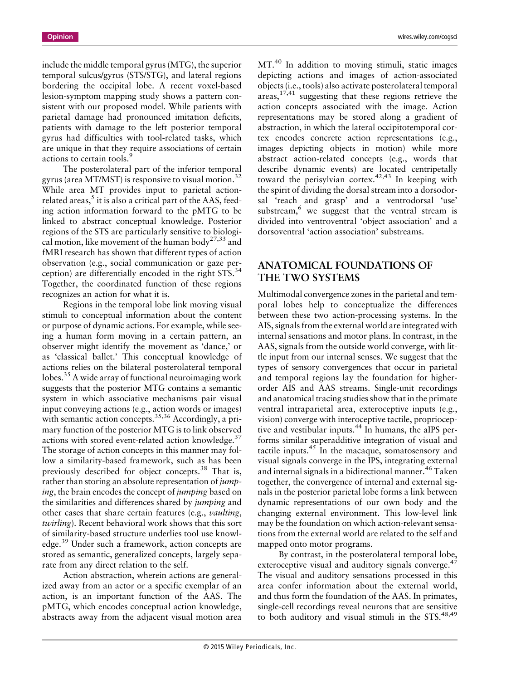include the middle temporal gyrus (MTG), the superior temporal sulcus/gyrus (STS/STG), and lateral regions bordering the occipital lobe. A recent voxel-based lesion-symptom mapping study shows a pattern consistent with our proposed model. While patients with parietal damage had pronounced imitation deficits, patients with damage to the left posterior temporal gyrus had difficulties with tool-related tasks, which are unique in that they require associations of certain actions to certain tools.<sup>9</sup>

The posterolateral part of the inferior temporal gyrus (area MT/MST) is responsive to visual motion.<sup>32</sup> While area MT provides input to parietal actionrelated areas, $<sup>5</sup>$  it is also a critical part of the AAS, feed-</sup> ing action information forward to the pMTG to be linked to abstract conceptual knowledge. Posterior regions of the STS are particularly sensitive to biological motion, like movement of the human body<sup>27,33</sup> and fMRI research has shown that different types of action observation (e.g., social communication or gaze perception) are differentially encoded in the right STS.<sup>34</sup> Together, the coordinated function of these regions recognizes an action for what it is.

Regions in the temporal lobe link moving visual stimuli to conceptual information about the content or purpose of dynamic actions. For example, while seeing a human form moving in a certain pattern, an observer might identify the movement as 'dance,' or as 'classical ballet.' This conceptual knowledge of actions relies on the bilateral posterolateral temporal lobes.<sup>35</sup> A wide array of functional neuroimaging work suggests that the posterior MTG contains a semantic system in which associative mechanisms pair visual input conveying actions (e.g., action words or images) with semantic action concepts.<sup>35,36</sup> Accordingly, a primary function of the posterior MTG is to link observed actions with stored event-related action knowledge.<sup>37</sup> The storage of action concepts in this manner may follow a similarity-based framework, such as has been previously described for object concepts.<sup>38</sup> That is, rather than storing an absolute representation of *jumping*, the brain encodes the concept of *jumping* based on the similarities and differences shared by *jumping* and other cases that share certain features (e.g., *vaulting*, *twirling*). Recent behavioral work shows that this sort of similarity-based structure underlies tool use knowledge.<sup>39</sup> Under such a framework, action concepts are stored as semantic, generalized concepts, largely separate from any direct relation to the self.

Action abstraction, wherein actions are generalized away from an actor or a specific exemplar of an action, is an important function of the AAS. The pMTG, which encodes conceptual action knowledge, abstracts away from the adjacent visual motion area

 $MT<sup>40</sup>$  In addition to moving stimuli, static images depicting actions and images of action-associated objects (i.e., tools) also activate posterolateral temporal areas,  $17,41$  suggesting that these regions retrieve the action concepts associated with the image. Action representations may be stored along a gradient of abstraction, in which the lateral occipitotemporal cortex encodes concrete action representations (e.g., images depicting objects in motion) while more abstract action-related concepts (e.g., words that describe dynamic events) are located centripetally toward the perisylvian cortex.<sup>42,43</sup> In keeping with the spirit of dividing the dorsal stream into a dorsodorsal 'reach and grasp' and a ventrodorsal 'use' substream, $6$  we suggest that the ventral stream is divided into ventroventral 'object association' and a dorsoventral 'action association' substreams.

## **ANATOMICAL FOUNDATIONS OF THE TWO SYSTEMS**

Multimodal convergence zones in the parietal and temporal lobes help to conceptualize the differences between these two action-processing systems. In the AIS, signals from the external world are integrated with internal sensations and motor plans. In contrast, in the AAS, signals from the outside world converge, with little input from our internal senses. We suggest that the types of sensory convergences that occur in parietal and temporal regions lay the foundation for higherorder AIS and AAS streams. Single-unit recordings and anatomical tracing studies show that in the primate ventral intraparietal area, exteroceptive inputs (e.g., vision) converge with interoceptive tactile, proprioceptive and vestibular inputs.<sup>44</sup> In humans, the aIPS performs similar superadditive integration of visual and tactile inputs. $45$  In the macaque, somatosensory and visual signals converge in the IPS, integrating external and internal signals in a bidirectional manner.<sup>46</sup> Taken together, the convergence of internal and external signals in the posterior parietal lobe forms a link between dynamic representations of our own body and the changing external environment. This low-level link may be the foundation on which action-relevant sensations from the external world are related to the self and mapped onto motor programs.

By contrast, in the posterolateral temporal lobe, exteroceptive visual and auditory signals converge.<sup>47</sup> The visual and auditory sensations processed in this area confer information about the external world, and thus form the foundation of the AAS. In primates, single-cell recordings reveal neurons that are sensitive to both auditory and visual stimuli in the  $STS.^{48,49}$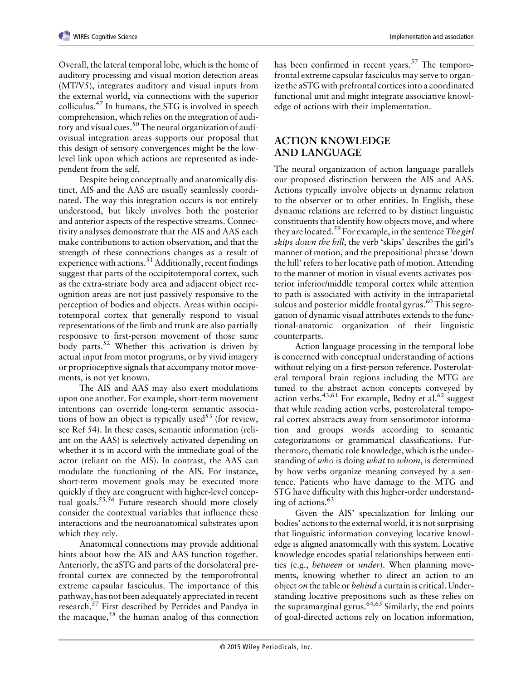Overall, the lateral temporal lobe, which is the home of auditory processing and visual motion detection areas (MT/V5), integrates auditory and visual inputs from the external world, via connections with the superior colliculus. $47$  In humans, the STG is involved in speech comprehension, which relies on the integration of auditory and visual cues.<sup>50</sup> The neural organization of audiovisual integration areas supports our proposal that this design of sensory convergences might be the lowlevel link upon which actions are represented as independent from the self.

Despite being conceptually and anatomically distinct, AIS and the AAS are usually seamlessly coordinated. The way this integration occurs is not entirely understood, but likely involves both the posterior and anterior aspects of the respective streams. Connectivity analyses demonstrate that the AIS and AAS each make contributions to action observation, and that the strength of these connections changes as a result of experience with actions.<sup>51</sup> Additionally, recent findings suggest that parts of the occipitotemporal cortex, such as the extra-striate body area and adjacent object recognition areas are not just passively responsive to the perception of bodies and objects. Areas within occipitotemporal cortex that generally respond to visual representations of the limb and trunk are also partially responsive to first-person movement of those same body parts.<sup>52</sup> Whether this activation is driven by actual input from motor programs, or by vivid imagery or proprioceptive signals that accompany motor movements, is not yet known.

The AIS and AAS may also exert modulations upon one another. For example, short-term movement intentions can override long-term semantic associations of how an object is typically used<sup>53</sup> (for review, see Ref 54). In these cases, semantic information (reliant on the AAS) is selectively activated depending on whether it is in accord with the immediate goal of the actor (reliant on the AIS). In contrast, the AAS can modulate the functioning of the AIS. For instance, short-term movement goals may be executed more quickly if they are congruent with higher-level conceptual goals.55,56 Future research should more closely consider the contextual variables that influence these interactions and the neuroanatomical substrates upon which they rely.

Anatomical connections may provide additional hints about how the AIS and AAS function together. Anteriorly, the aSTG and parts of the dorsolateral prefrontal cortex are connected by the temporofrontal extreme capsular fasciculus. The importance of this pathway, has not been adequately appreciated in recent research.<sup>57</sup> First described by Petrides and Pandya in the macaque,<sup>58</sup> the human analog of this connection

has been confirmed in recent years. $57$  The temporofrontal extreme capsular fasciculus may serve to organize the aSTG with prefrontal cortices into a coordinated functional unit and might integrate associative knowledge of actions with their implementation.

# **ACTION KNOWLEDGE AND LANGUAGE**

The neural organization of action language parallels our proposed distinction between the AIS and AAS. Actions typically involve objects in dynamic relation to the observer or to other entities. In English, these dynamic relations are referred to by distinct linguistic constituents that identify how objects move, and where they are located.<sup>59</sup> For example, in the sentence *The girl skips down the hill*, the verb 'skips' describes the girl's manner of motion, and the prepositional phrase 'down the hill' refers to her locative path of motion. Attending to the manner of motion in visual events activates posterior inferior/middle temporal cortex while attention to path is associated with activity in the intraparietal sulcus and posterior middle frontal gyrus.<sup>60</sup> This segregation of dynamic visual attributes extends to the functional-anatomic organization of their linguistic counterparts.

Action language processing in the temporal lobe is concerned with conceptual understanding of actions without relying on a first-person reference. Posterolateral temporal brain regions including the MTG are tuned to the abstract action concepts conveyed by action verbs.<sup>43,61</sup> For example, Bedny et al.<sup>62</sup> suggest that while reading action verbs, posterolateral temporal cortex abstracts away from sensorimotor information and groups words according to semantic categorizations or grammatical classifications. Furthermore, thematic role knowledge, which is the understanding of *who* is doing *what* to *whom*, is determined by how verbs organize meaning conveyed by a sentence. Patients who have damage to the MTG and STG have difficulty with this higher-order understanding of actions.63

Given the AIS' specialization for linking our bodies' actions to the external world, it is not surprising that linguistic information conveying locative knowledge is aligned anatomically with this system. Locative knowledge encodes spatial relationships between entities (e.g., *between* or *under*). When planning movements, knowing whether to direct an action to an object *on* the table or *behind* a curtain is critical. Understanding locative prepositions such as these relies on the supramarginal gyrus.<sup> $64,65$ </sup> Similarly, the end points of goal-directed actions rely on location information,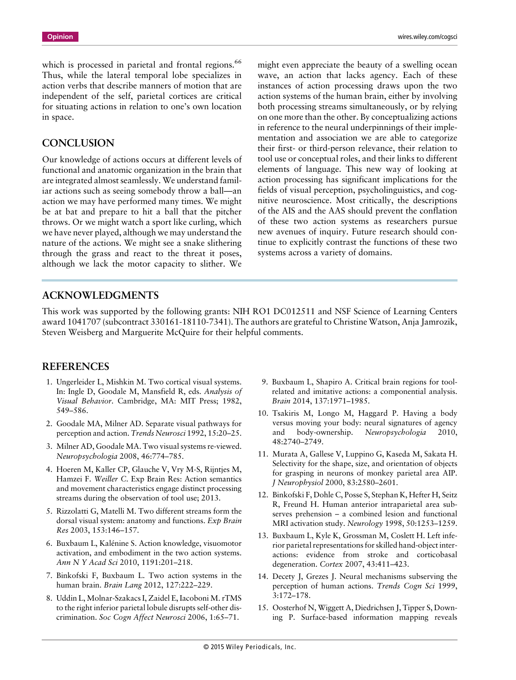which is processed in parietal and frontal regions.<sup>66</sup> Thus, while the lateral temporal lobe specializes in action verbs that describe manners of motion that are independent of the self, parietal cortices are critical for situating actions in relation to one's own location in space.

### **CONCLUSION**

Our knowledge of actions occurs at different levels of functional and anatomic organization in the brain that are integrated almost seamlessly. We understand familiar actions such as seeing somebody throw a ball—an action we may have performed many times. We might be at bat and prepare to hit a ball that the pitcher throws. Or we might watch a sport like curling, which we have never played, although we may understand the nature of the actions. We might see a snake slithering through the grass and react to the threat it poses, although we lack the motor capacity to slither. We

might even appreciate the beauty of a swelling ocean wave, an action that lacks agency. Each of these instances of action processing draws upon the two action systems of the human brain, either by involving both processing streams simultaneously, or by relying on one more than the other. By conceptualizing actions in reference to the neural underpinnings of their implementation and association we are able to categorize their first- or third-person relevance, their relation to tool use or conceptual roles, and their links to different elements of language. This new way of looking at action processing has significant implications for the fields of visual perception, psycholinguistics, and cognitive neuroscience. Most critically, the descriptions of the AIS and the AAS should prevent the conflation of these two action systems as researchers pursue new avenues of inquiry. Future research should continue to explicitly contrast the functions of these two systems across a variety of domains.

#### **ACKNOWLEDGMENTS**

This work was supported by the following grants: NIH RO1 DC012511 and NSF Science of Learning Centers award 1041707 (subcontract 330161-18110-7341). The authors are grateful to Christine Watson, Anja Jamrozik, Steven Weisberg and Marguerite McQuire for their helpful comments.

#### **REFERENCES**

- 1. Ungerleider L, Mishkin M. Two cortical visual systems. In: Ingle D, Goodale M, Mansfield R, eds. *Analysis of Visual Behavior*. Cambridge, MA: MIT Press; 1982, 549–586.
- 2. Goodale MA, Milner AD. Separate visual pathways for perception and action. *Trends Neurosci* 1992, 15:20–25.
- 3. Milner AD, Goodale MA. Two visual systems re-viewed. *Neuropsychologia* 2008, 46:774–785.
- 4. Hoeren M, Kaller CP, Glauche V, Vry M-S, Rijntjes M, Hamzei F. *Weiller C*. Exp Brain Res: Action semantics and movement characteristics engage distinct processing streams during the observation of tool use; 2013.
- 5. Rizzolatti G, Matelli M. Two different streams form the dorsal visual system: anatomy and functions. *Exp Brain Res* 2003, 153:146–157.
- 6. Buxbaum L, Kalénine S. Action knowledge, visuomotor activation, and embodiment in the two action systems. *Ann N Y Acad Sci* 2010, 1191:201–218.
- 7. Binkofski F, Buxbaum L. Two action systems in the human brain. *Brain Lang* 2012, 127:222–229.
- 8. Uddin L, Molnar-Szakacs I, Zaidel E, Iacoboni M. rTMS to the right inferior parietal lobule disrupts self-other discrimination. *Soc Cogn Affect Neurosci* 2006, 1:65–71.
- 9. Buxbaum L, Shapiro A. Critical brain regions for toolrelated and imitative actions: a componential analysis. *Brain* 2014, 137:1971–1985.
- 10. Tsakiris M, Longo M, Haggard P. Having a body versus moving your body: neural signatures of agency and body-ownership. *Neuropsychologia* 2010, 48:2740–2749.
- 11. Murata A, Gallese V, Luppino G, Kaseda M, Sakata H. Selectivity for the shape, size, and orientation of objects for grasping in neurons of monkey parietal area AIP. *J Neurophysiol* 2000, 83:2580–2601.
- 12. Binkofski F, Dohle C, Posse S, Stephan K, Hefter H, Seitz R, Freund H. Human anterior intraparietal area subserves prehension – a combined lesion and functional MRI activation study. *Neurology* 1998, 50:1253–1259.
- 13. Buxbaum L, Kyle K, Grossman M, Coslett H. Left inferior parietal representations for skilled hand-object interactions: evidence from stroke and corticobasal degeneration. *Cortex* 2007, 43:411–423.
- 14. Decety J, Grezes J. Neural mechanisms subserving the perception of human actions. *Trends Cogn Sci* 1999, 3:172–178.
- 15. Oosterhof N, Wiggett A, Diedrichsen J, Tipper S, Downing P. Surface-based information mapping reveals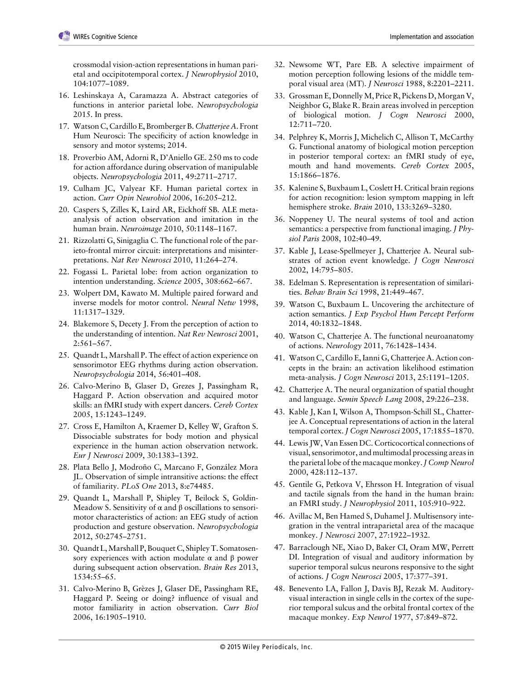crossmodal vision-action representations in human parietal and occipitotemporal cortex. *J Neurophysiol* 2010, 104:1077–1089.

- 16. Leshinskaya A, Caramazza A. Abstract categories of functions in anterior parietal lobe. *Neuropsychologia* 2015. In press.
- 17. Watson C, Cardillo E, Bromberger B. *Chatterjee A*. Front Hum Neurosci: The specificity of action knowledge in sensory and motor systems; 2014.
- 18. Proverbio AM, Adorni R, D'Aniello GE. 250 ms to code for action affordance during observation of manipulable objects. *Neuropsychologia* 2011, 49:2711–2717.
- 19. Culham JC, Valyear KF. Human parietal cortex in action. *Curr Opin Neurobiol* 2006, 16:205–212.
- 20. Caspers S, Zilles K, Laird AR, Eickhoff SB. ALE metaanalysis of action observation and imitation in the human brain. *Neuroimage* 2010, 50:1148–1167.
- 21. Rizzolatti G, Sinigaglia C. The functional role of the parieto-frontal mirror circuit: interpretations and misinterpretations. *Nat Rev Neurosci* 2010, 11:264–274.
- 22. Fogassi L. Parietal lobe: from action organization to intention understanding. *Science* 2005, 308:662–667.
- 23. Wolpert DM, Kawato M. Multiple paired forward and inverse models for motor control. *Neural Netw* 1998, 11:1317–1329.
- 24. Blakemore S, Decety J. From the perception of action to the understanding of intention. *Nat Rev Neurosci* 2001, 2:561–567.
- 25. Quandt L, Marshall P. The effect of action experience on sensorimotor EEG rhythms during action observation. *Neuropsychologia* 2014, 56:401–408.
- 26. Calvo-Merino B, Glaser D, Grezes J, Passingham R, Haggard P. Action observation and acquired motor skills: an fMRI study with expert dancers. *Cereb Cortex* 2005, 15:1243–1249.
- 27. Cross E, Hamilton A, Kraemer D, Kelley W, Grafton S. Dissociable substrates for body motion and physical experience in the human action observation network. *Eur J Neurosci* 2009, 30:1383–1392.
- 28. Plata Bello J, Modroño C, Marcano F, González Mora JL. Observation of simple intransitive actions: the effect of familiarity. *PLoS One* 2013, 8:e74485.
- 29. Quandt L, Marshall P, Shipley T, Beilock S, Goldin-Meadow S. Sensitivity of  $\alpha$  and  $\beta$  oscillations to sensorimotor characteristics of action: an EEG study of action production and gesture observation. *Neuropsychologia* 2012, 50:2745–2751.
- 30. Quandt L,Marshall P, Bouquet C, Shipley T. Somatosensory experiences with action modulate α and β power during subsequent action observation. *Brain Res* 2013, 1534:55–65.
- 31. Calvo-Merino B, Grèzes J, Glaser DE, Passingham RE, Haggard P. Seeing or doing? influence of visual and motor familiarity in action observation. *Curr Biol* 2006, 16:1905–1910.
- 32. Newsome WT, Pare EB. A selective impairment of motion perception following lesions of the middle temporal visual area (MT). *J Neurosci* 1988, 8:2201–2211.
- 33. Grossman E, Donnelly M, Price R, Pickens D, Morgan V, Neighbor G, Blake R. Brain areas involved in perception of biological motion. *J Cogn Neurosci* 2000, 12:711–720.
- 34. Pelphrey K, Morris J, Michelich C, Allison T, McCarthy G. Functional anatomy of biological motion perception in posterior temporal cortex: an fMRI study of eye, mouth and hand movements. *Cereb Cortex* 2005, 15:1866–1876.
- 35. Kalenine S, Buxbaum L, Coslett H. Critical brain regions for action recognition: lesion symptom mapping in left hemisphere stroke. *Brain* 2010, 133:3269–3280.
- 36. Noppeney U. The neural systems of tool and action semantics: a perspective from functional imaging. *J Physiol Paris* 2008, 102:40–49.
- 37. Kable J, Lease-Spellmeyer J, Chatterjee A. Neural substrates of action event knowledge. *J Cogn Neurosci* 2002, 14:795–805.
- 38. Edelman S. Representation is representation of similarities. *Behav Brain Sci* 1998, 21:449–467.
- 39. Watson C, Buxbaum L. Uncovering the architecture of action semantics. *J Exp Psychol Hum Percept Perform* 2014, 40:1832–1848.
- 40. Watson C, Chatterjee A. The functional neuroanatomy of actions. *Neurology* 2011, 76:1428–1434.
- 41. Watson C, Cardillo E, Ianni G, Chatterjee A. Action concepts in the brain: an activation likelihood estimation meta-analysis. *J Cogn Neurosci* 2013, 25:1191–1205.
- 42. Chatterjee A. The neural organization of spatial thought and language. *Semin Speech Lang* 2008, 29:226–238.
- 43. Kable J, Kan I, Wilson A, Thompson-Schill SL, Chatterjee A. Conceptual representations of action in the lateral temporal cortex. *J Cogn Neurosci* 2005, 17:1855–1870.
- 44. Lewis JW, Van Essen DC. Corticocortical connections of visual, sensorimotor, and multimodal processing areas in the parietal lobe of the macaque monkey.*J Comp Neurol* 2000, 428:112–137.
- 45. Gentile G, Petkova V, Ehrsson H. Integration of visual and tactile signals from the hand in the human brain: an FMRI study. *J Neurophysiol* 2011, 105:910–922.
- 46. Avillac M, Ben Hamed S, Duhamel J. Multisensory integration in the ventral intraparietal area of the macaque monkey. *J Neurosci* 2007, 27:1922–1932.
- 47. Barraclough NE, Xiao D, Baker CI, Oram MW, Perrett DI. Integration of visual and auditory information by superior temporal sulcus neurons responsive to the sight of actions. *J Cogn Neurosci* 2005, 17:377–391.
- 48. Benevento LA, Fallon J, Davis BJ, Rezak M. Auditoryvisual interaction in single cells in the cortex of the superior temporal sulcus and the orbital frontal cortex of the macaque monkey. *Exp Neurol* 1977, 57:849–872.